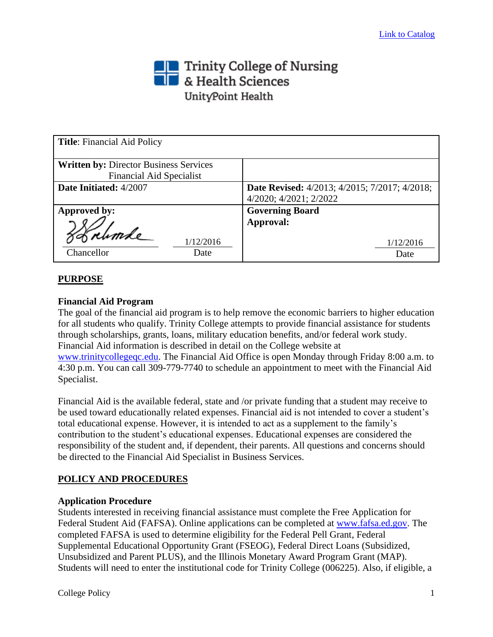# Trinity College of Nursing<br> **The State Sciences** UnityPoint Health

| <b>Title:</b> Financial Aid Policy                                               |                                                                                |
|----------------------------------------------------------------------------------|--------------------------------------------------------------------------------|
| <b>Written by: Director Business Services</b><br><b>Financial Aid Specialist</b> |                                                                                |
| Date Initiated: 4/2007                                                           | <b>Date Revised:</b> 4/2013; 4/2015; 7/2017; 4/2018;<br>4/2020; 4/2021; 2/2022 |
| Approved by:<br>1/12/2016<br>Chancellor<br>Date                                  | <b>Governing Board</b><br>Approval:<br>1/12/2016<br>Date                       |

# **PURPOSE**

## **Financial Aid Program**

The goal of the financial aid program is to help remove the economic barriers to higher education for all students who qualify. Trinity College attempts to provide financial assistance for students through scholarships, grants, loans, military education benefits, and/or federal work study. Financial Aid information is described in detail on the College website at [www.trinitycollegeqc.edu.](file:///C:/Documents%20and%20Settings/poelvoordet/Local%20Settings/Temporary%20Internet%20Files/Content.Outlook/EIKHGAMX/www.trinitycollegeqc.edu) The Financial Aid Office is open Monday through Friday 8:00 a.m. to 4:30 p.m. You can call 309-779-7740 to schedule an appointment to meet with the Financial Aid Specialist.

Financial Aid is the available federal, state and /or private funding that a student may receive to be used toward educationally related expenses. Financial aid is not intended to cover a student's total educational expense. However, it is intended to act as a supplement to the family's contribution to the student's educational expenses. Educational expenses are considered the responsibility of the student and, if dependent, their parents. All questions and concerns should be directed to the Financial Aid Specialist in Business Services.

## **POLICY AND PROCEDURES**

#### **Application Procedure**

Students interested in receiving financial assistance must complete the Free Application for Federal Student Aid (FAFSA). Online applications can be completed at [www.fafsa.ed.gov.](file:///C:/Documents%20and%20Settings/poelvoordet/Local%20Settings/Temporary%20Internet%20Files/Content.Outlook/EIKHGAMX/www.fafsa.ed.gov) The completed FAFSA is used to determine eligibility for the Federal Pell Grant, Federal Supplemental Educational Opportunity Grant (FSEOG), Federal Direct Loans (Subsidized, Unsubsidized and Parent PLUS), and the Illinois Monetary Award Program Grant (MAP). Students will need to enter the institutional code for Trinity College (006225). Also, if eligible, a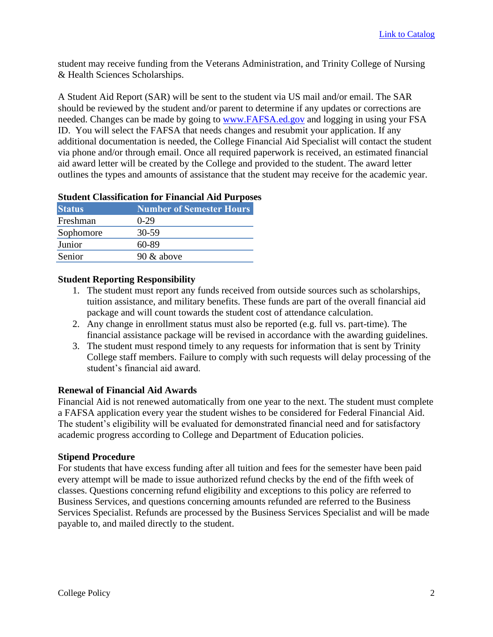student may receive funding from the Veterans Administration, and Trinity College of Nursing & Health Sciences Scholarships.

A Student Aid Report (SAR) will be sent to the student via US mail and/or email. The SAR should be reviewed by the student and/or parent to determine if any updates or corrections are needed. Changes can be made by going to [www.FAFSA.ed.gov](http://www.fafsa.ed.gov/) and logging in using your FSA ID. You will select the FAFSA that needs changes and resubmit your application. If any additional documentation is needed, the College Financial Aid Specialist will contact the student via phone and/or through email. Once all required paperwork is received, an estimated financial aid award letter will be created by the College and provided to the student. The award letter outlines the types and amounts of assistance that the student may receive for the academic year.

## **Student Classification for Financial Aid Purposes**

| <b>Status</b> | <b>Number of Semester Hours</b> |
|---------------|---------------------------------|
| Freshman      | $0-29$                          |
| Sophomore     | 30-59                           |
| Junior        | 60-89                           |
| Senior        | $90 \&$ above                   |

#### **Student Reporting Responsibility**

- 1. The student must report any funds received from outside sources such as scholarships, tuition assistance, and military benefits. These funds are part of the overall financial aid package and will count towards the student cost of attendance calculation.
- 2. Any change in enrollment status must also be reported (e.g. full vs. part-time). The financial assistance package will be revised in accordance with the awarding guidelines.
- 3. The student must respond timely to any requests for information that is sent by Trinity College staff members. Failure to comply with such requests will delay processing of the student's financial aid award.

#### **Renewal of Financial Aid Awards**

Financial Aid is not renewed automatically from one year to the next. The student must complete a FAFSA application every year the student wishes to be considered for Federal Financial Aid. The student's eligibility will be evaluated for demonstrated financial need and for satisfactory academic progress according to College and Department of Education policies.

#### **Stipend Procedure**

For students that have excess funding after all tuition and fees for the semester have been paid every attempt will be made to issue authorized refund checks by the end of the fifth week of classes. Questions concerning refund eligibility and exceptions to this policy are referred to Business Services, and questions concerning amounts refunded are referred to the Business Services Specialist. Refunds are processed by the Business Services Specialist and will be made payable to, and mailed directly to the student.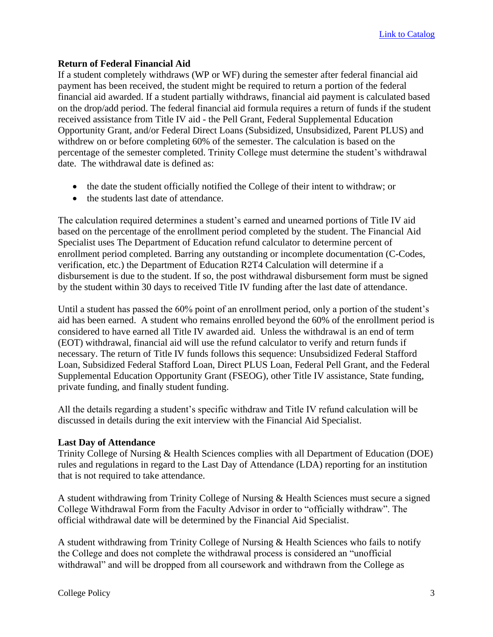#### **Return of Federal Financial Aid**

If a student completely withdraws (WP or WF) during the semester after federal financial aid payment has been received, the student might be required to return a portion of the federal financial aid awarded. If a student partially withdraws, financial aid payment is calculated based on the drop/add period. The federal financial aid formula requires a return of funds if the student received assistance from Title IV aid - the Pell Grant, Federal Supplemental Education Opportunity Grant, and/or Federal Direct Loans (Subsidized, Unsubsidized, Parent PLUS) and withdrew on or before completing 60% of the semester. The calculation is based on the percentage of the semester completed. Trinity College must determine the student's withdrawal date. The withdrawal date is defined as:

- the date the student officially notified the College of their intent to withdraw; or
- the students last date of attendance.

The calculation required determines a student's earned and unearned portions of Title IV aid based on the percentage of the enrollment period completed by the student. The Financial Aid Specialist uses The Department of Education refund calculator to determine percent of enrollment period completed. Barring any outstanding or incomplete documentation (C-Codes, verification, etc.) the Department of Education R2T4 Calculation will determine if a disbursement is due to the student. If so, the post withdrawal disbursement form must be signed by the student within 30 days to received Title IV funding after the last date of attendance.

Until a student has passed the 60% point of an enrollment period, only a portion of the student's aid has been earned. A student who remains enrolled beyond the 60% of the enrollment period is considered to have earned all Title IV awarded aid. Unless the withdrawal is an end of term (EOT) withdrawal, financial aid will use the refund calculator to verify and return funds if necessary. The return of Title IV funds follows this sequence: Unsubsidized Federal Stafford Loan, Subsidized Federal Stafford Loan, Direct PLUS Loan, Federal Pell Grant, and the Federal Supplemental Education Opportunity Grant (FSEOG), other Title IV assistance, State funding, private funding, and finally student funding.

All the details regarding a student's specific withdraw and Title IV refund calculation will be discussed in details during the exit interview with the Financial Aid Specialist.

#### **Last Day of Attendance**

Trinity College of Nursing & Health Sciences complies with all Department of Education (DOE) rules and regulations in regard to the Last Day of Attendance (LDA) reporting for an institution that is not required to take attendance.

A student withdrawing from Trinity College of Nursing & Health Sciences must secure a signed College Withdrawal Form from the Faculty Advisor in order to "officially withdraw". The official withdrawal date will be determined by the Financial Aid Specialist.

A student withdrawing from Trinity College of Nursing & Health Sciences who fails to notify the College and does not complete the withdrawal process is considered an "unofficial withdrawal" and will be dropped from all coursework and withdrawn from the College as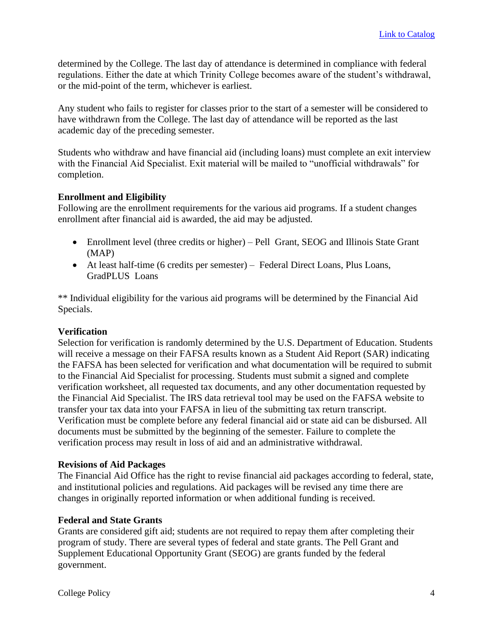determined by the College. The last day of attendance is determined in compliance with federal regulations. Either the date at which Trinity College becomes aware of the student's withdrawal, or the mid-point of the term, whichever is earliest.

Any student who fails to register for classes prior to the start of a semester will be considered to have withdrawn from the College. The last day of attendance will be reported as the last academic day of the preceding semester.

Students who withdraw and have financial aid (including loans) must complete an exit interview with the Financial Aid Specialist. Exit material will be mailed to "unofficial withdrawals" for completion.

## **Enrollment and Eligibility**

Following are the enrollment requirements for the various aid programs. If a student changes enrollment after financial aid is awarded, the aid may be adjusted.

- Enrollment level (three credits or higher) Pell Grant, SEOG and Illinois State Grant (MAP)
- At least half-time (6 credits per semester) Federal Direct Loans, Plus Loans, GradPLUS Loans

\*\* Individual eligibility for the various aid programs will be determined by the Financial Aid Specials.

#### **Verification**

Selection for verification is randomly determined by the U.S. Department of Education. Students will receive a message on their FAFSA results known as a Student Aid Report (SAR) indicating the FAFSA has been selected for verification and what documentation will be required to submit to the Financial Aid Specialist for processing. Students must submit a signed and complete verification worksheet, all requested tax documents, and any other documentation requested by the Financial Aid Specialist. The IRS data retrieval tool may be used on the FAFSA website to transfer your tax data into your FAFSA in lieu of the submitting tax return transcript. Verification must be complete before any federal financial aid or state aid can be disbursed. All documents must be submitted by the beginning of the semester. Failure to complete the verification process may result in loss of aid and an administrative withdrawal.

#### **Revisions of Aid Packages**

The Financial Aid Office has the right to revise financial aid packages according to federal, state, and institutional policies and regulations. Aid packages will be revised any time there are changes in originally reported information or when additional funding is received.

#### **Federal and State Grants**

Grants are considered gift aid; students are not required to repay them after completing their program of study. There are several types of federal and state grants. The Pell Grant and Supplement Educational Opportunity Grant (SEOG) are grants funded by the federal government.